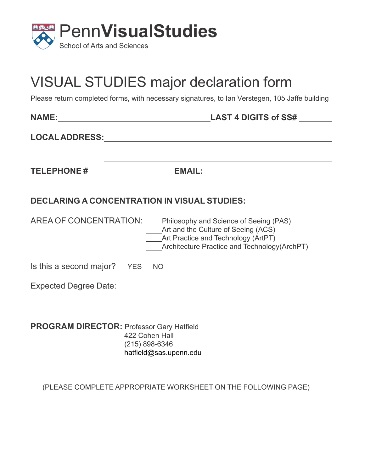

## VISUAL STUDIES major declaration form

Please return completed forms, with necessary signatures, to Ian Verstegen, 105 Jaffe building

|                                                  | LOCAL ADDRESS: Annual Annual Annual Annual Annual Annual Annual Annual Annual Annual Annual Annual Annual Annu                                                                                  |
|--------------------------------------------------|-------------------------------------------------------------------------------------------------------------------------------------------------------------------------------------------------|
|                                                  |                                                                                                                                                                                                 |
|                                                  | <b>DECLARING A CONCENTRATION IN VISUAL STUDIES:</b>                                                                                                                                             |
|                                                  | AREA OF CONCENTRATION: Philosophy and Science of Seeing (PAS)<br>Art and the Culture of Seeing (ACS)<br>____Art Practice and Technology (ArtPT)<br>Architecture Practice and Technology(ArchPT) |
| Is this a second major? YES NO                   |                                                                                                                                                                                                 |
|                                                  |                                                                                                                                                                                                 |
| <b>PROGRAM DIRECTOR: Professor Gary Hatfield</b> | 422 Cohen Hall<br>$(215) 898 - 6346$<br>hatfield@sas.upenn.edu                                                                                                                                  |

(PLEASE COMPLETE APPROPRIATE WORKSHEET ON THE FOLLOWING PAGE)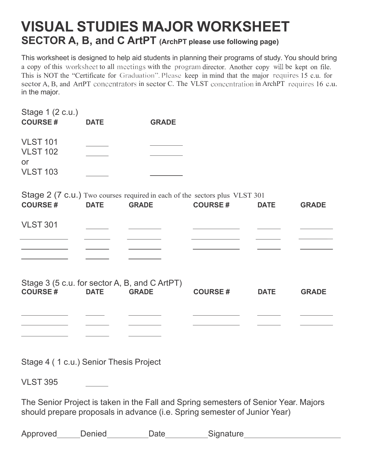## **VISUAL STUDIES MAJOR WORKSHEET SECTOR A, B, and C ArtPT (ArchPT please use following page)**

This worksheet is designed to help aid students in planning their programs of study. You should bring a copy of this worksheet to all meetings with the program director. Another copy will be kept on file. This is NOT the "Certificate for Graduation". Please keep in mind that the major requires 15 c.u. for A, B, and ArtPT concentrators in sector C. The VLST concentration in ArchPT requires 16 in the major.

| Stage 1 (2 c.u.)                                                           |             |              |                |             |              |
|----------------------------------------------------------------------------|-------------|--------------|----------------|-------------|--------------|
| <b>COURSE#</b>                                                             | <b>DATE</b> | <b>GRADE</b> |                |             |              |
| <b>VLST 101</b>                                                            |             |              |                |             |              |
| <b>VLST 102</b>                                                            |             |              |                |             |              |
| or                                                                         |             |              |                |             |              |
| <b>VLST 103</b>                                                            |             |              |                |             |              |
|                                                                            |             |              |                |             |              |
| Stage 2 (7 c.u.) Two courses required in each of the sectors plus VLST 301 |             |              |                |             |              |
| <b>COURSE#</b>                                                             | <b>DATE</b> | <b>GRADE</b> | <b>COURSE#</b> | <b>DATE</b> | <b>GRADE</b> |
| <b>VLST 301</b>                                                            |             |              |                |             |              |
|                                                                            |             |              |                |             |              |
|                                                                            |             |              |                |             |              |
|                                                                            |             |              |                |             |              |
|                                                                            |             |              |                |             |              |
| Stage 3 (5 c.u. for sector A, B, and C ArtPT)                              |             |              |                |             |              |
| <b>COURSE#</b>                                                             | <b>DATE</b> | <b>GRADE</b> | <b>COURSE#</b> | <b>DATE</b> | <b>GRADE</b> |
|                                                                            |             |              |                |             |              |
|                                                                            |             |              |                |             |              |
|                                                                            |             |              |                |             |              |
|                                                                            |             |              |                |             |              |

Stage 4 ( 1 c.u.) Senior Thesis Project

VLST 395

The Senior Project is taken in the Fall and Spring semesters of Senior Year. Majors should prepare proposals in advance (i.e. Spring semester of Junior Year)

Approved Denied Date Signature